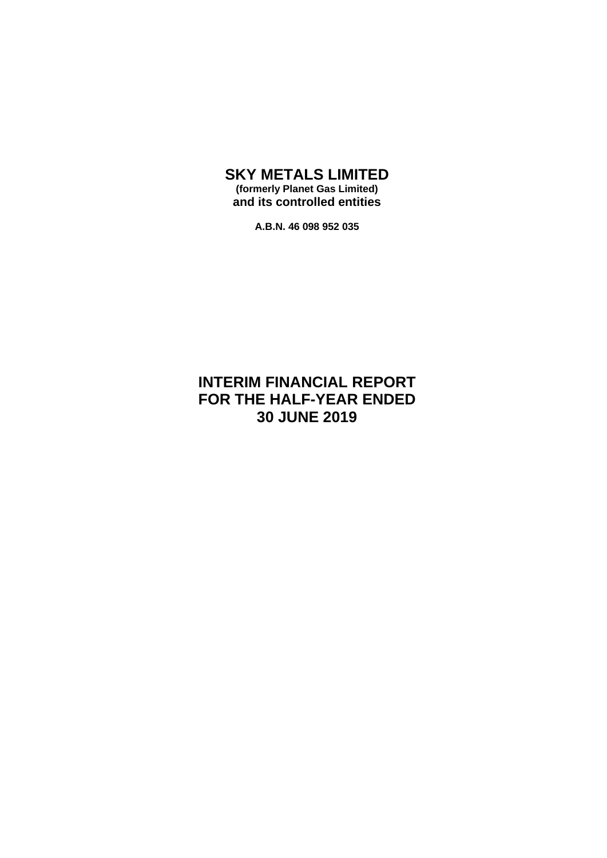#### **SKY METALS LIMITED (formerly Planet Gas Limited) and its controlled entities**

**A.B.N. 46 098 952 035**

### **INTERIM FINANCIAL REPORT FOR THE HALF-YEAR ENDED 30 JUNE 2019**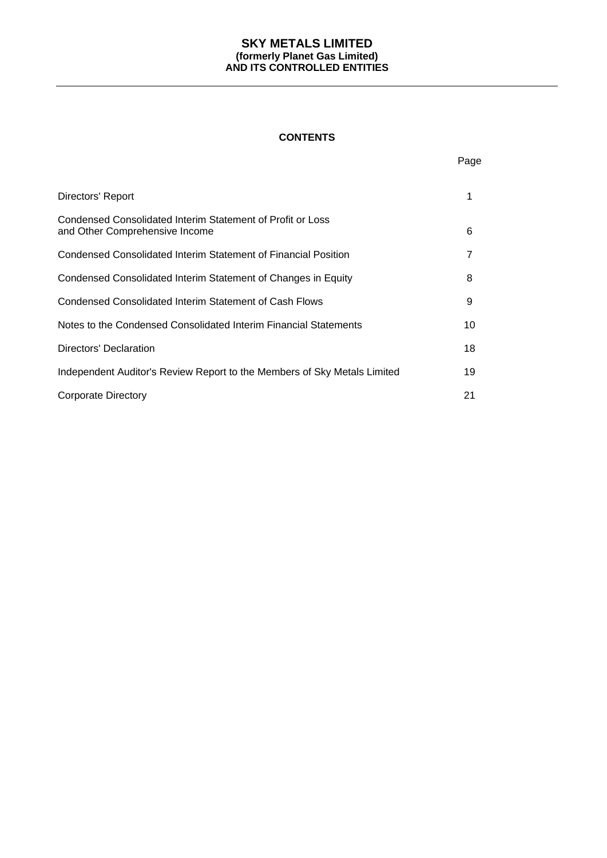#### **CONTENTS**

Page

| Directors' Report                                                                            | 1  |
|----------------------------------------------------------------------------------------------|----|
| Condensed Consolidated Interim Statement of Profit or Loss<br>and Other Comprehensive Income | 6  |
| Condensed Consolidated Interim Statement of Financial Position                               | 7  |
| Condensed Consolidated Interim Statement of Changes in Equity                                | 8  |
| Condensed Consolidated Interim Statement of Cash Flows                                       | 9  |
| Notes to the Condensed Consolidated Interim Financial Statements                             | 10 |
| Directors' Declaration                                                                       | 18 |
| Independent Auditor's Review Report to the Members of Sky Metals Limited                     | 19 |
| <b>Corporate Directory</b>                                                                   | 21 |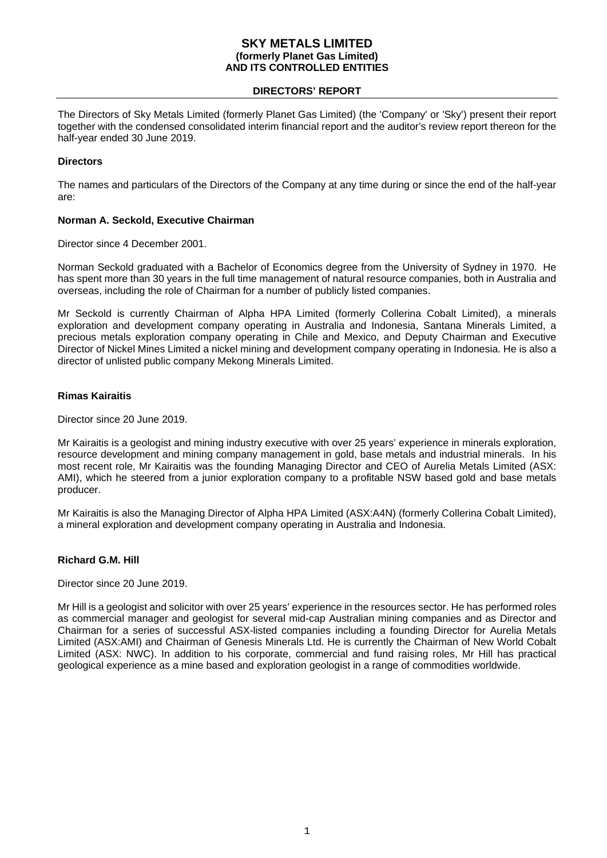#### **DIRECTORS' REPORT**

The Directors of Sky Metals Limited (formerly Planet Gas Limited) (the 'Company' or 'Sky') present their report together with the condensed consolidated interim financial report and the auditor's review report thereon for the half-year ended 30 June 2019.

#### **Directors**

The names and particulars of the Directors of the Company at any time during or since the end of the half-year are:

#### **Norman A. Seckold, Executive Chairman**

Director since 4 December 2001.

Norman Seckold graduated with a Bachelor of Economics degree from the University of Sydney in 1970. He has spent more than 30 years in the full time management of natural resource companies, both in Australia and overseas, including the role of Chairman for a number of publicly listed companies.

Mr Seckold is currently Chairman of Alpha HPA Limited (formerly Collerina Cobalt Limited), a minerals exploration and development company operating in Australia and Indonesia, Santana Minerals Limited, a precious metals exploration company operating in Chile and Mexico, and Deputy Chairman and Executive Director of Nickel Mines Limited a nickel mining and development company operating in Indonesia. He is also a director of unlisted public company Mekong Minerals Limited.

#### **Rimas Kairaitis**

Director since 20 June 2019.

Mr Kairaitis is a geologist and mining industry executive with over 25 years' experience in minerals exploration, resource development and mining company management in gold, base metals and industrial minerals. In his most recent role, Mr Kairaitis was the founding Managing Director and CEO of Aurelia Metals Limited (ASX: AMI), which he steered from a junior exploration company to a profitable NSW based gold and base metals producer.

Mr Kairaitis is also the Managing Director of Alpha HPA Limited (ASX:A4N) (formerly Collerina Cobalt Limited), a mineral exploration and development company operating in Australia and Indonesia.

#### **Richard G.M. Hill**

Director since 20 June 2019.

Mr Hill is a geologist and solicitor with over 25 years' experience in the resources sector. He has performed roles as commercial manager and geologist for several mid-cap Australian mining companies and as Director and Chairman for a series of successful ASX-listed companies including a founding Director for Aurelia Metals Limited (ASX:AMI) and Chairman of Genesis Minerals Ltd. He is currently the Chairman of New World Cobalt Limited (ASX: NWC). In addition to his corporate, commercial and fund raising roles, Mr Hill has practical geological experience as a mine based and exploration geologist in a range of commodities worldwide.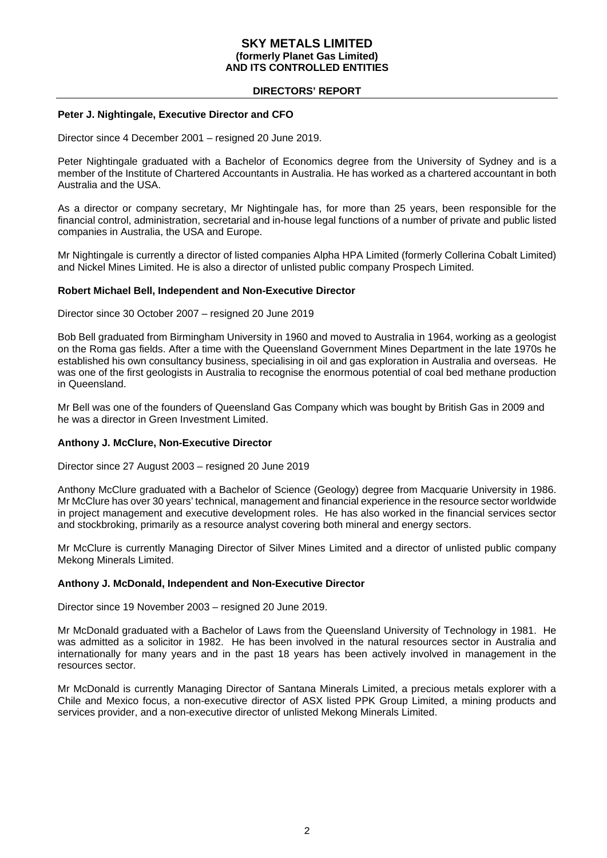#### **DIRECTORS' REPORT**

#### **Peter J. Nightingale, Executive Director and CFO**

Director since 4 December 2001 – resigned 20 June 2019.

Peter Nightingale graduated with a Bachelor of Economics degree from the University of Sydney and is a member of the Institute of Chartered Accountants in Australia. He has worked as a chartered accountant in both Australia and the USA.

As a director or company secretary, Mr Nightingale has, for more than 25 years, been responsible for the financial control, administration, secretarial and in-house legal functions of a number of private and public listed companies in Australia, the USA and Europe.

Mr Nightingale is currently a director of listed companies Alpha HPA Limited (formerly Collerina Cobalt Limited) and Nickel Mines Limited. He is also a director of unlisted public company Prospech Limited.

#### **Robert Michael Bell, Independent and Non-Executive Director**

Director since 30 October 2007 – resigned 20 June 2019

Bob Bell graduated from Birmingham University in 1960 and moved to Australia in 1964, working as a geologist on the Roma gas fields. After a time with the Queensland Government Mines Department in the late 1970s he established his own consultancy business, specialising in oil and gas exploration in Australia and overseas. He was one of the first geologists in Australia to recognise the enormous potential of coal bed methane production in Queensland.

Mr Bell was one of the founders of Queensland Gas Company which was bought by British Gas in 2009 and he was a director in Green Investment Limited.

#### **Anthony J. McClure, Non-Executive Director**

Director since 27 August 2003 – resigned 20 June 2019

Anthony McClure graduated with a Bachelor of Science (Geology) degree from Macquarie University in 1986. Mr McClure has over 30 years' technical, management and financial experience in the resource sector worldwide in project management and executive development roles. He has also worked in the financial services sector and stockbroking, primarily as a resource analyst covering both mineral and energy sectors.

Mr McClure is currently Managing Director of Silver Mines Limited and a director of unlisted public company Mekong Minerals Limited.

#### **Anthony J. McDonald, Independent and Non-Executive Director**

Director since 19 November 2003 – resigned 20 June 2019.

Mr McDonald graduated with a Bachelor of Laws from the Queensland University of Technology in 1981. He was admitted as a solicitor in 1982. He has been involved in the natural resources sector in Australia and internationally for many years and in the past 18 years has been actively involved in management in the resources sector.

Mr McDonald is currently Managing Director of Santana Minerals Limited, a precious metals explorer with a Chile and Mexico focus, a non-executive director of ASX listed PPK Group Limited, a mining products and services provider, and a non-executive director of unlisted Mekong Minerals Limited.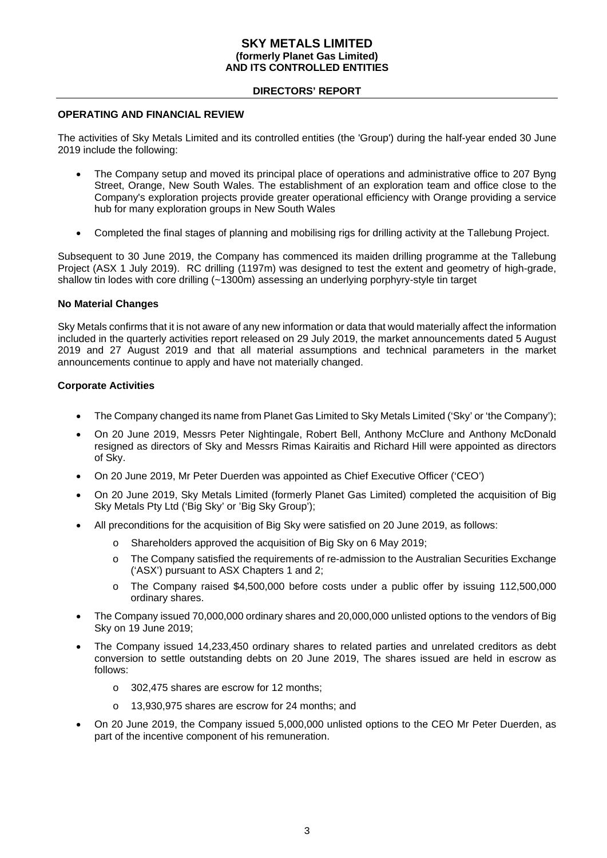#### **DIRECTORS' REPORT**

#### **OPERATING AND FINANCIAL REVIEW**

The activities of Sky Metals Limited and its controlled entities (the 'Group') during the half-year ended 30 June 2019 include the following:

- The Company setup and moved its principal place of operations and administrative office to 207 Byng Street, Orange, New South Wales. The establishment of an exploration team and office close to the Company's exploration projects provide greater operational efficiency with Orange providing a service hub for many exploration groups in New South Wales
- Completed the final stages of planning and mobilising rigs for drilling activity at the Tallebung Project.

Subsequent to 30 June 2019, the Company has commenced its maiden drilling programme at the Tallebung Project (ASX 1 July 2019). RC drilling (1197m) was designed to test the extent and geometry of high-grade, shallow tin lodes with core drilling (~1300m) assessing an underlying porphyry-style tin target

#### **No Material Changes**

Sky Metals confirms that it is not aware of any new information or data that would materially affect the information included in the quarterly activities report released on 29 July 2019, the market announcements dated 5 August 2019 and 27 August 2019 and that all material assumptions and technical parameters in the market announcements continue to apply and have not materially changed.

#### **Corporate Activities**

- The Company changed its name from Planet Gas Limited to Sky Metals Limited ('Sky' or 'the Company');
- On 20 June 2019, Messrs Peter Nightingale, Robert Bell, Anthony McClure and Anthony McDonald resigned as directors of Sky and Messrs Rimas Kairaitis and Richard Hill were appointed as directors of Sky.
- On 20 June 2019, Mr Peter Duerden was appointed as Chief Executive Officer ('CEO')
- On 20 June 2019, Sky Metals Limited (formerly Planet Gas Limited) completed the acquisition of Big Sky Metals Pty Ltd ('Big Sky' or 'Big Sky Group');
- All preconditions for the acquisition of Big Sky were satisfied on 20 June 2019, as follows:
	- Shareholders approved the acquisition of Big Sky on 6 May 2019;
	- o The Company satisfied the requirements of re-admission to the Australian Securities Exchange ('ASX') pursuant to ASX Chapters 1 and 2;
	- o The Company raised \$4,500,000 before costs under a public offer by issuing 112,500,000 ordinary shares.
- The Company issued 70,000,000 ordinary shares and 20,000,000 unlisted options to the vendors of Big Sky on 19 June 2019;
- The Company issued 14,233,450 ordinary shares to related parties and unrelated creditors as debt conversion to settle outstanding debts on 20 June 2019, The shares issued are held in escrow as follows:
	- o 302,475 shares are escrow for 12 months;
	- 13,930,975 shares are escrow for 24 months; and
- On 20 June 2019, the Company issued 5,000,000 unlisted options to the CEO Mr Peter Duerden, as part of the incentive component of his remuneration.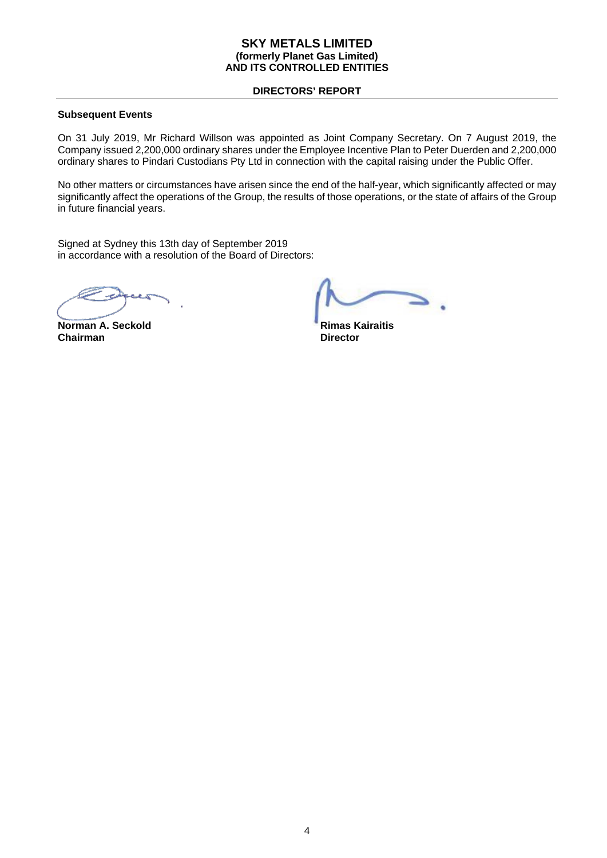#### **DIRECTORS' REPORT**

#### **Subsequent Events**

On 31 July 2019, Mr Richard Willson was appointed as Joint Company Secretary. On 7 August 2019, the Company issued 2,200,000 ordinary shares under the Employee Incentive Plan to Peter Duerden and 2,200,000 ordinary shares to Pindari Custodians Pty Ltd in connection with the capital raising under the Public Offer.

No other matters or circumstances have arisen since the end of the half-year, which significantly affected or may significantly affect the operations of the Group, the results of those operations, or the state of affairs of the Group in future financial years.

Signed at Sydney this 13th day of September 2019 in accordance with a resolution of the Board of Directors:

**Norman A. Seckold Rimas Kairaitis Chairman** Director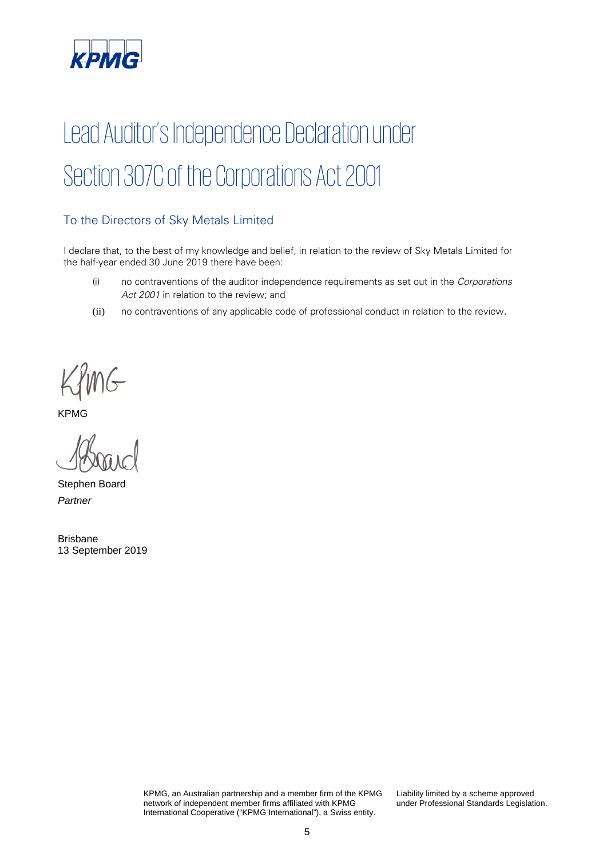

# Lead Auditor's Independence Declaration under Section 307C of the Corporations Act 2001

#### To the Directors of Sky Metals Limited

I declare that, to the best of my knowledge and belief, in relation to the review of Sky Metals Limited for the half-year ended 30 June 2019 there have been:

- (i) no contraventions of the auditor independence requirements as set out in the Corporations Act 2001 in relation to the review; and
- (ii) no contraventions of any applicable code of professional conduct in relation to the review.

KYMG

Stephen Board *Partner*

Brisbane 13 September 2019

> KPMG, an Australian partnership and a member firm of the KPMG network of independent member firms affiliated with KPMG International Cooperative ("KPMG International"), a Swiss entity.

Liability limited by a scheme approved under Professional Standards Legislation.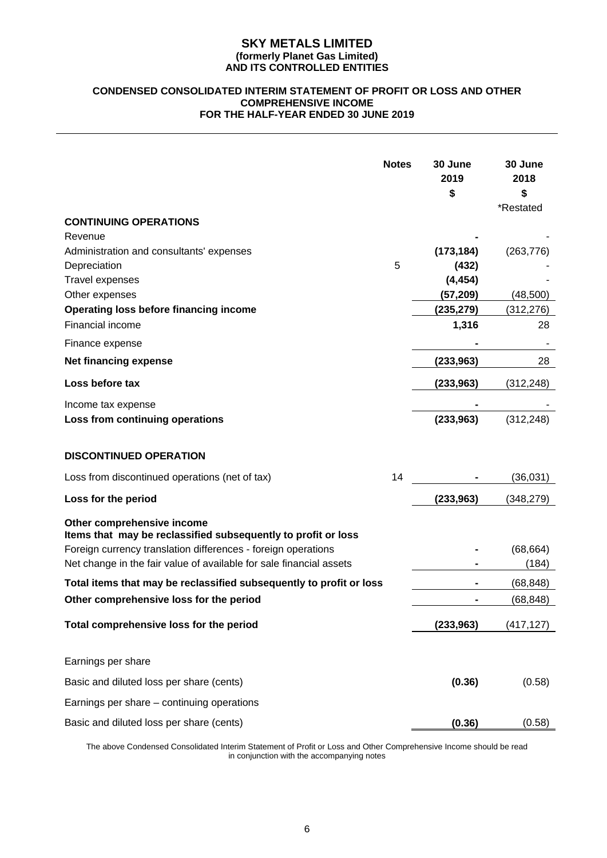#### **CONDENSED CONSOLIDATED INTERIM STATEMENT OF PROFIT OR LOSS AND OTHER COMPREHENSIVE INCOME FOR THE HALF-YEAR ENDED 30 JUNE 2019**

|                                                                                                                                                                                                                                     | <b>Notes</b> | 30 June<br>2019<br>\$ | 30 June<br>2018<br>\$<br>*Restated |
|-------------------------------------------------------------------------------------------------------------------------------------------------------------------------------------------------------------------------------------|--------------|-----------------------|------------------------------------|
| <b>CONTINUING OPERATIONS</b>                                                                                                                                                                                                        |              |                       |                                    |
| Revenue                                                                                                                                                                                                                             |              |                       |                                    |
| Administration and consultants' expenses                                                                                                                                                                                            |              | (173, 184)            | (263, 776)                         |
| Depreciation                                                                                                                                                                                                                        | 5            | (432)                 |                                    |
| <b>Travel expenses</b>                                                                                                                                                                                                              |              | (4, 454)              |                                    |
| Other expenses                                                                                                                                                                                                                      |              | (57, 209)             | (48,500)                           |
| Operating loss before financing income                                                                                                                                                                                              |              | (235, 279)            | (312, 276)                         |
| Financial income                                                                                                                                                                                                                    |              | 1,316                 | 28                                 |
| Finance expense                                                                                                                                                                                                                     |              |                       |                                    |
| <b>Net financing expense</b>                                                                                                                                                                                                        |              | (233, 963)            | 28                                 |
| Loss before tax                                                                                                                                                                                                                     |              | (233,963)             | (312, 248)                         |
| Income tax expense                                                                                                                                                                                                                  |              |                       |                                    |
| Loss from continuing operations                                                                                                                                                                                                     |              | (233,963)             | (312, 248)                         |
| <b>DISCONTINUED OPERATION</b><br>Loss from discontinued operations (net of tax)                                                                                                                                                     | 14           |                       | (36, 031)                          |
|                                                                                                                                                                                                                                     |              |                       |                                    |
| Loss for the period                                                                                                                                                                                                                 |              | (233, 963)            | (348, 279)                         |
| Other comprehensive income<br>Items that may be reclassified subsequently to profit or loss<br>Foreign currency translation differences - foreign operations<br>Net change in the fair value of available for sale financial assets |              |                       | (68, 664)<br>(184)                 |
| Total items that may be reclassified subsequently to profit or loss                                                                                                                                                                 |              |                       | (68, 848)                          |
| Other comprehensive loss for the period                                                                                                                                                                                             |              |                       | (68, 848)                          |
| Total comprehensive loss for the period                                                                                                                                                                                             |              | (233,963)             | (417, 127)                         |
| Earnings per share                                                                                                                                                                                                                  |              |                       |                                    |
| Basic and diluted loss per share (cents)                                                                                                                                                                                            |              | (0.36)                | (0.58)                             |
| Earnings per share – continuing operations                                                                                                                                                                                          |              |                       |                                    |
| Basic and diluted loss per share (cents)                                                                                                                                                                                            |              | (0.36)                | (0.58)                             |

The above Condensed Consolidated Interim Statement of Profit or Loss and Other Comprehensive Income should be read in conjunction with the accompanying notes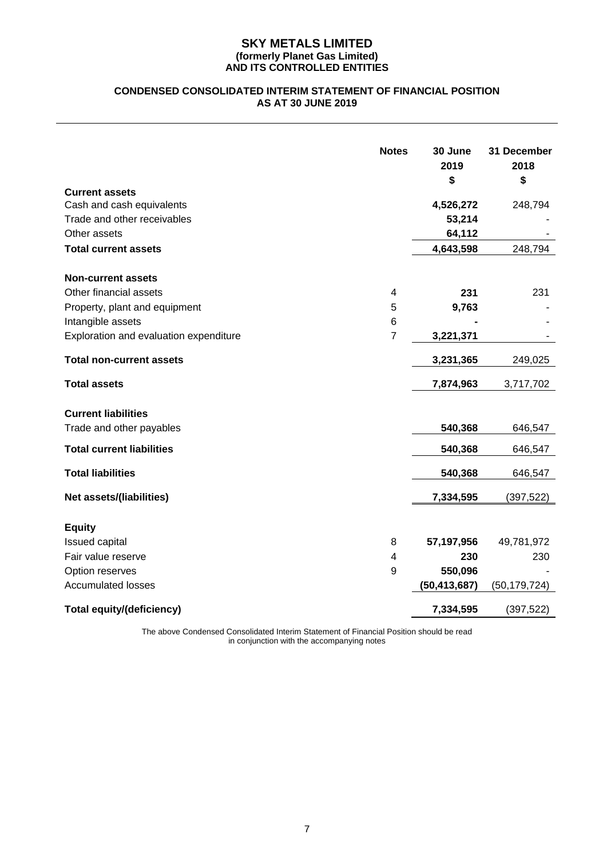#### **CONDENSED CONSOLIDATED INTERIM STATEMENT OF FINANCIAL POSITION AS AT 30 JUNE 2019**

|                                                    | <b>Notes</b>   | 30 June<br>2019<br>\$ | 31 December<br>2018<br>\$ |
|----------------------------------------------------|----------------|-----------------------|---------------------------|
| <b>Current assets</b><br>Cash and cash equivalents |                |                       | 248,794                   |
| Trade and other receivables                        |                | 4,526,272<br>53,214   |                           |
| Other assets                                       |                | 64,112                |                           |
|                                                    |                |                       | 248,794                   |
| <b>Total current assets</b>                        |                | 4,643,598             |                           |
| <b>Non-current assets</b>                          |                |                       |                           |
| Other financial assets                             | 4              | 231                   | 231                       |
| Property, plant and equipment                      | 5              | 9,763                 |                           |
| Intangible assets                                  | 6              |                       |                           |
| Exploration and evaluation expenditure             | $\overline{7}$ | 3,221,371             |                           |
| <b>Total non-current assets</b>                    |                | 3,231,365             | 249,025                   |
| <b>Total assets</b>                                |                | 7,874,963             | 3,717,702                 |
| <b>Current liabilities</b>                         |                |                       |                           |
| Trade and other payables                           |                | 540,368               | 646,547                   |
| <b>Total current liabilities</b>                   |                | 540,368               | 646,547                   |
| <b>Total liabilities</b>                           |                | 540,368               | 646,547                   |
| <b>Net assets/(liabilities)</b>                    |                | 7,334,595             | (397,522)                 |
|                                                    |                |                       |                           |
| <b>Equity</b>                                      |                |                       |                           |
| Issued capital                                     | 8              | 57,197,956            | 49,781,972                |
| Fair value reserve                                 | 4              | 230                   | 230                       |
| Option reserves                                    | 9              | 550,096               |                           |
| <b>Accumulated losses</b>                          |                | (50, 413, 687)        | (50, 179, 724)            |
| <b>Total equity/(deficiency)</b>                   |                | 7,334,595             | (397, 522)                |

The above Condensed Consolidated Interim Statement of Financial Position should be read in conjunction with the accompanying notes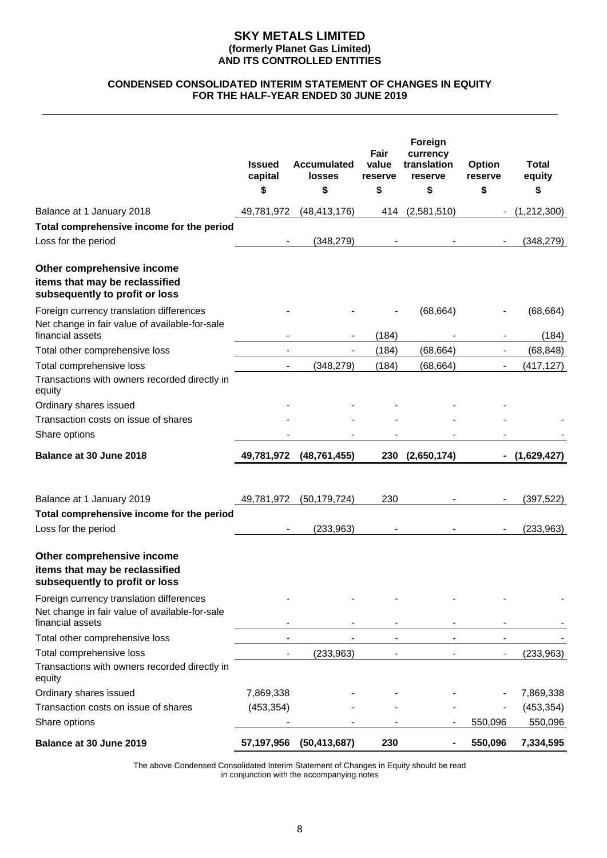#### **CONDENSED CONSOLIDATED INTERIM STATEMENT OF CHANGES IN EQUITY FOR THE HALF-YEAR ENDED 30 JUNE 2019**

|                                                                                                | <b>Issued</b><br>capital | <b>Accumulated</b><br><b>losses</b> | Fair<br>value<br>reserve | Foreign<br>currency<br>translation<br>reserve | <b>Option</b><br>reserve | <b>Total</b><br>equity |
|------------------------------------------------------------------------------------------------|--------------------------|-------------------------------------|--------------------------|-----------------------------------------------|--------------------------|------------------------|
|                                                                                                | \$                       | \$                                  | \$                       | \$                                            | \$                       | \$                     |
| Balance at 1 January 2018                                                                      | 49,781,972               | (48, 413, 176)                      | 414                      | (2,581,510)                                   |                          | (1,212,300)            |
| Total comprehensive income for the period                                                      |                          |                                     |                          |                                               |                          |                        |
| Loss for the period                                                                            |                          | (348, 279)                          |                          |                                               |                          | (348, 279)             |
| Other comprehensive income<br>items that may be reclassified<br>subsequently to profit or loss |                          |                                     |                          |                                               |                          |                        |
| Foreign currency translation differences<br>Net change in fair value of available-for-sale     |                          |                                     |                          | (68, 664)                                     |                          | (68, 664)              |
| financial assets                                                                               |                          |                                     | (184)                    |                                               |                          | (184)                  |
| Total other comprehensive loss                                                                 |                          |                                     | (184)                    | (68, 664)                                     | $\overline{\phantom{a}}$ | (68, 848)              |
| Total comprehensive loss<br>Transactions with owners recorded directly in<br>equity            |                          | (348, 279)                          | (184)                    | (68, 664)                                     | $\overline{\phantom{0}}$ | (417, 127)             |
| Ordinary shares issued                                                                         |                          |                                     |                          |                                               |                          |                        |
| Transaction costs on issue of shares                                                           |                          |                                     |                          |                                               |                          |                        |
| Share options                                                                                  |                          |                                     |                          |                                               |                          |                        |
|                                                                                                |                          |                                     |                          |                                               |                          |                        |
| Balance at 30 June 2018                                                                        | 49,781,972               | (48, 761, 455)                      |                          | 230 (2,650,174)                               |                          | (1,629,427)            |
|                                                                                                |                          |                                     |                          |                                               |                          |                        |
| Balance at 1 January 2019                                                                      | 49,781,972               | (50, 179, 724)                      | 230                      |                                               |                          | (397, 522)             |
| Total comprehensive income for the period                                                      |                          |                                     |                          |                                               |                          |                        |
| Loss for the period                                                                            |                          | (233, 963)                          |                          |                                               |                          | (233,963)              |
| Other comprehensive income<br>items that may be reclassified<br>subsequently to profit or loss |                          |                                     |                          |                                               |                          |                        |
| Foreign currency translation differences<br>Net change in fair value of available-for-sale     |                          |                                     |                          |                                               |                          |                        |
| financial assets                                                                               |                          |                                     |                          |                                               |                          |                        |
| Total other comprehensive loss                                                                 |                          |                                     |                          |                                               |                          |                        |
| Total comprehensive loss<br>Transactions with owners recorded directly in<br>equity            |                          | (233, 963)                          |                          |                                               | $\overline{\phantom{a}}$ | (233, 963)             |
| Ordinary shares issued                                                                         | 7,869,338                |                                     |                          |                                               |                          | 7,869,338              |
| Transaction costs on issue of shares                                                           | (453, 354)               |                                     |                          |                                               |                          | (453, 354)             |
| Share options                                                                                  |                          |                                     |                          |                                               | 550,096                  | 550,096                |

The above Condensed Consolidated Interim Statement of Changes in Equity should be read in conjunction with the accompanying notes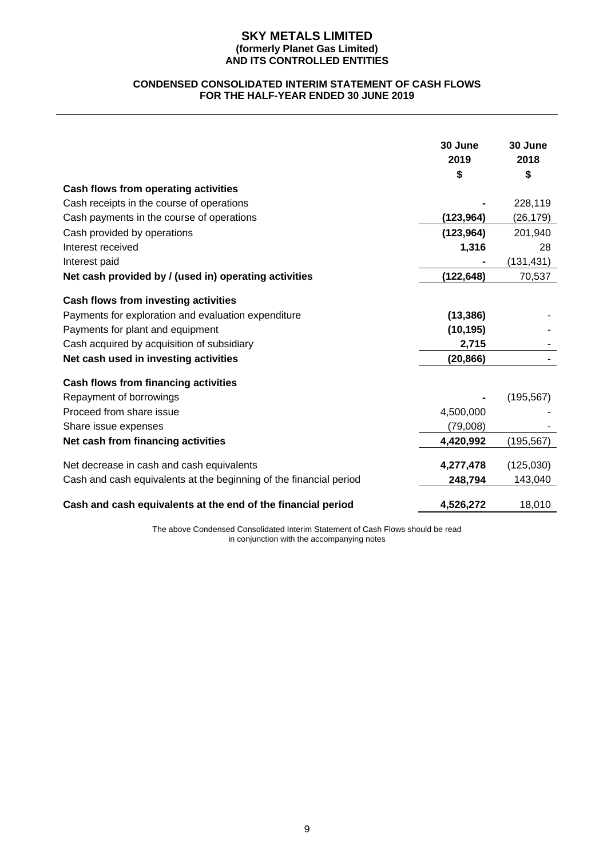#### **CONDENSED CONSOLIDATED INTERIM STATEMENT OF CASH FLOWS FOR THE HALF-YEAR ENDED 30 JUNE 2019**

|                                                                    | 30 June    | 30 June    |
|--------------------------------------------------------------------|------------|------------|
|                                                                    | 2019       | 2018       |
|                                                                    | \$         | \$         |
| Cash flows from operating activities                               |            |            |
| Cash receipts in the course of operations                          |            | 228,119    |
| Cash payments in the course of operations                          | (123, 964) | (26, 179)  |
| Cash provided by operations                                        | (123, 964) | 201,940    |
| Interest received                                                  | 1,316      | 28         |
| Interest paid                                                      |            | (131, 431) |
| Net cash provided by / (used in) operating activities              | (122,648)  | 70,537     |
| Cash flows from investing activities                               |            |            |
| Payments for exploration and evaluation expenditure                | (13, 386)  |            |
| Payments for plant and equipment                                   | (10, 195)  |            |
| Cash acquired by acquisition of subsidiary                         | 2,715      |            |
| Net cash used in investing activities                              | (20, 866)  |            |
| Cash flows from financing activities                               |            |            |
| Repayment of borrowings                                            |            | (195, 567) |
| Proceed from share issue                                           | 4,500,000  |            |
| Share issue expenses                                               | (79,008)   |            |
| Net cash from financing activities                                 | 4,420,992  | (195,567)  |
| Net decrease in cash and cash equivalents                          | 4,277,478  | (125,030)  |
| Cash and cash equivalents at the beginning of the financial period | 248,794    | 143,040    |
| Cash and cash equivalents at the end of the financial period       | 4,526,272  | 18,010     |

The above Condensed Consolidated Interim Statement of Cash Flows should be read in conjunction with the accompanying notes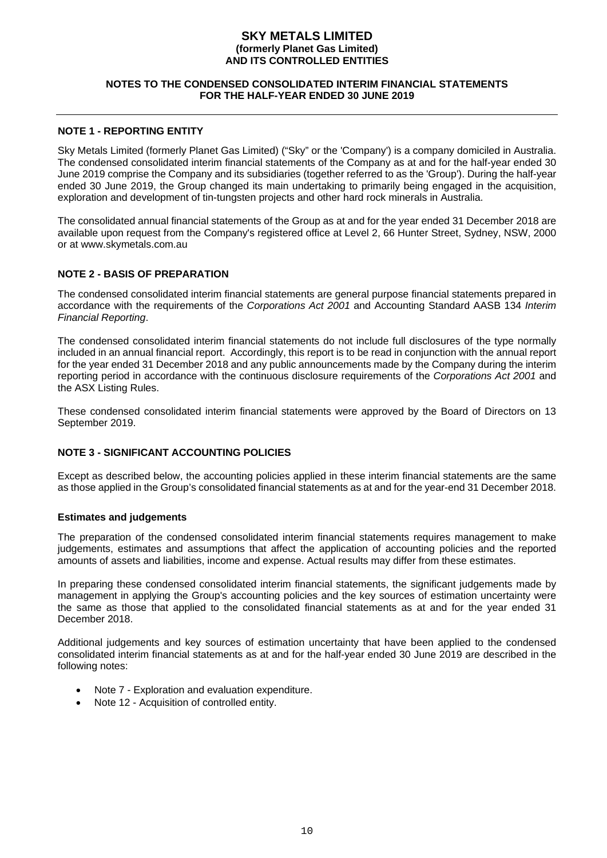#### **NOTES TO THE CONDENSED CONSOLIDATED INTERIM FINANCIAL STATEMENTS FOR THE HALF-YEAR ENDED 30 JUNE 2019**

#### **NOTE 1 - REPORTING ENTITY**

Sky Metals Limited (formerly Planet Gas Limited) ("Sky" or the 'Company') is a company domiciled in Australia. The condensed consolidated interim financial statements of the Company as at and for the half-year ended 30 June 2019 comprise the Company and its subsidiaries (together referred to as the 'Group'). During the half-year ended 30 June 2019, the Group changed its main undertaking to primarily being engaged in the acquisition, exploration and development of tin-tungsten projects and other hard rock minerals in Australia.

The consolidated annual financial statements of the Group as at and for the year ended 31 December 2018 are available upon request from the Company's registered office at Level 2, 66 Hunter Street, Sydney, NSW, 2000 or at www.skymetals.com.au

#### **NOTE 2 - BASIS OF PREPARATION**

The condensed consolidated interim financial statements are general purpose financial statements prepared in accordance with the requirements of the *Corporations Act 2001* and Accounting Standard AASB 134 *Interim Financial Reporting*.

The condensed consolidated interim financial statements do not include full disclosures of the type normally included in an annual financial report. Accordingly, this report is to be read in conjunction with the annual report for the year ended 31 December 2018 and any public announcements made by the Company during the interim reporting period in accordance with the continuous disclosure requirements of the *Corporations Act 2001* and the ASX Listing Rules.

These condensed consolidated interim financial statements were approved by the Board of Directors on 13 September 2019.

#### **NOTE 3 - SIGNIFICANT ACCOUNTING POLICIES**

Except as described below, the accounting policies applied in these interim financial statements are the same as those applied in the Group's consolidated financial statements as at and for the year-end 31 December 2018.

#### **Estimates and judgements**

The preparation of the condensed consolidated interim financial statements requires management to make judgements, estimates and assumptions that affect the application of accounting policies and the reported amounts of assets and liabilities, income and expense. Actual results may differ from these estimates.

In preparing these condensed consolidated interim financial statements, the significant judgements made by management in applying the Group's accounting policies and the key sources of estimation uncertainty were the same as those that applied to the consolidated financial statements as at and for the year ended 31 December 2018.

Additional judgements and key sources of estimation uncertainty that have been applied to the condensed consolidated interim financial statements as at and for the half-year ended 30 June 2019 are described in the following notes:

- Note 7 Exploration and evaluation expenditure.
- Note 12 Acquisition of controlled entity.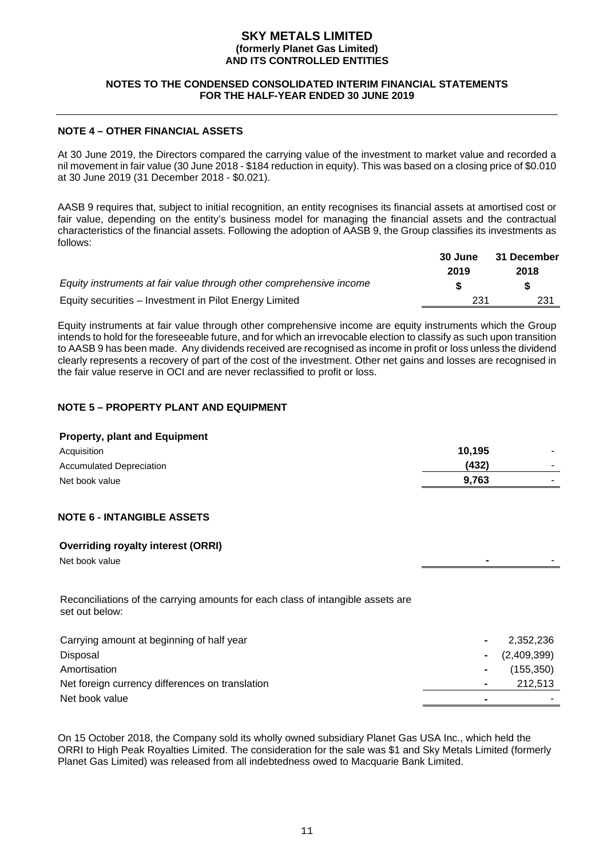#### **NOTES TO THE CONDENSED CONSOLIDATED INTERIM FINANCIAL STATEMENTS FOR THE HALF-YEAR ENDED 30 JUNE 2019**

#### **NOTE 4 – OTHER FINANCIAL ASSETS**

At 30 June 2019, the Directors compared the carrying value of the investment to market value and recorded a nil movement in fair value (30 June 2018 - \$184 reduction in equity). This was based on a closing price of \$0.010 at 30 June 2019 (31 December 2018 - \$0.021).

AASB 9 requires that, subject to initial recognition, an entity recognises its financial assets at amortised cost or fair value, depending on the entity's business model for managing the financial assets and the contractual characteristics of the financial assets. Following the adoption of AASB 9, the Group classifies its investments as follows:

|                                                                     | 30 June | 31 December |
|---------------------------------------------------------------------|---------|-------------|
|                                                                     | 2019    | 2018        |
| Equity instruments at fair value through other comprehensive income |         | S.          |
| Equity securities – Investment in Pilot Energy Limited              | 231     | 231         |

Equity instruments at fair value through other comprehensive income are equity instruments which the Group intends to hold for the foreseeable future, and for which an irrevocable election to classify as such upon transition to AASB 9 has been made. Any dividends received are recognised as income in profit or loss unless the dividend clearly represents a recovery of part of the cost of the investment. Other net gains and losses are recognised in the fair value reserve in OCI and are never reclassified to profit or loss.

#### **NOTE 5 – PROPERTY PLANT AND EQUIPMENT**

#### **Property, plant and Equipment**

| Acquisition                     | 10,195 |        |
|---------------------------------|--------|--------|
| <b>Accumulated Depreciation</b> | (432)  | $\sim$ |
| Net book value                  | 9.763  |        |
|                                 |        |        |

#### **NOTE 6 - INTANGIBLE ASSETS**

#### **Overriding royalty interest (ORRI)**

Net book value **-** -

Reconciliations of the carrying amounts for each class of intangible assets are set out below:

| Carrying amount at beginning of half year       | 2,352,236      |
|-------------------------------------------------|----------------|
| Disposal                                        | $ (2,409,399)$ |
| Amortisation                                    | (155, 350)     |
| Net foreign currency differences on translation | 212.513        |
| Net book value                                  |                |

On 15 October 2018, the Company sold its wholly owned subsidiary Planet Gas USA Inc., which held the ORRI to High Peak Royalties Limited. The consideration for the sale was \$1 and Sky Metals Limited (formerly Planet Gas Limited) was released from all indebtedness owed to Macquarie Bank Limited.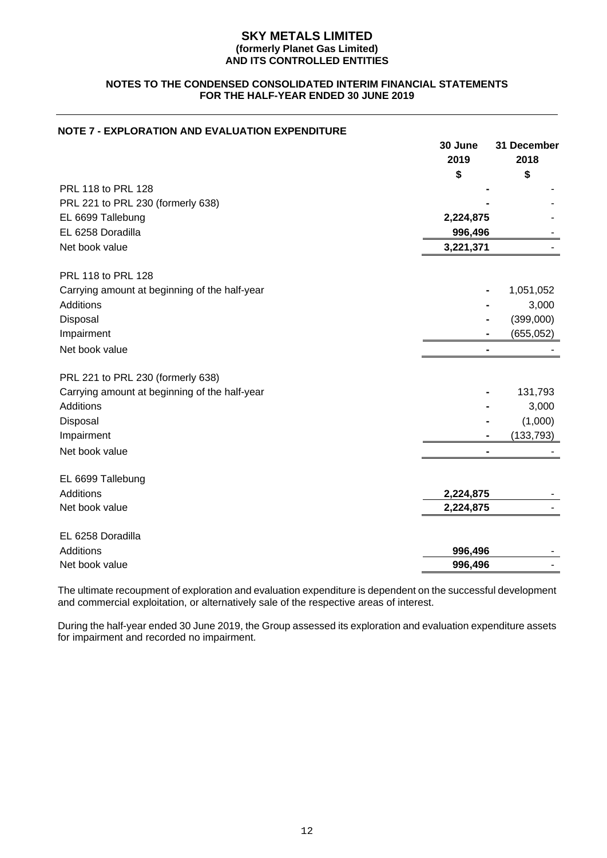#### **NOTES TO THE CONDENSED CONSOLIDATED INTERIM FINANCIAL STATEMENTS FOR THE HALF-YEAR ENDED 30 JUNE 2019**

#### **NOTE 7 - EXPLORATION AND EVALUATION EXPENDITURE**

|                                               | 30 June<br>2019 | 31 December<br>2018 |
|-----------------------------------------------|-----------------|---------------------|
|                                               | \$              | \$                  |
| PRL 118 to PRL 128                            |                 |                     |
| PRL 221 to PRL 230 (formerly 638)             |                 |                     |
| EL 6699 Tallebung                             | 2,224,875       |                     |
| EL 6258 Doradilla                             | 996,496         |                     |
| Net book value                                | 3,221,371       |                     |
| PRL 118 to PRL 128                            |                 |                     |
| Carrying amount at beginning of the half-year |                 | 1,051,052           |
| <b>Additions</b>                              |                 | 3,000               |
| Disposal                                      |                 | (399,000)           |
| Impairment                                    |                 | (655, 052)          |
| Net book value                                |                 |                     |
| PRL 221 to PRL 230 (formerly 638)             |                 |                     |
| Carrying amount at beginning of the half-year |                 | 131,793             |
| Additions                                     |                 | 3,000               |
| Disposal                                      |                 | (1,000)             |
| Impairment                                    |                 | (133, 793)          |
| Net book value                                |                 |                     |
| EL 6699 Tallebung                             |                 |                     |
| Additions                                     | 2,224,875       |                     |
| Net book value                                | 2,224,875       |                     |
| EL 6258 Doradilla                             |                 |                     |
| Additions                                     | 996,496         |                     |
| Net book value                                | 996,496         |                     |

The ultimate recoupment of exploration and evaluation expenditure is dependent on the successful development and commercial exploitation, or alternatively sale of the respective areas of interest.

During the half-year ended 30 June 2019, the Group assessed its exploration and evaluation expenditure assets for impairment and recorded no impairment.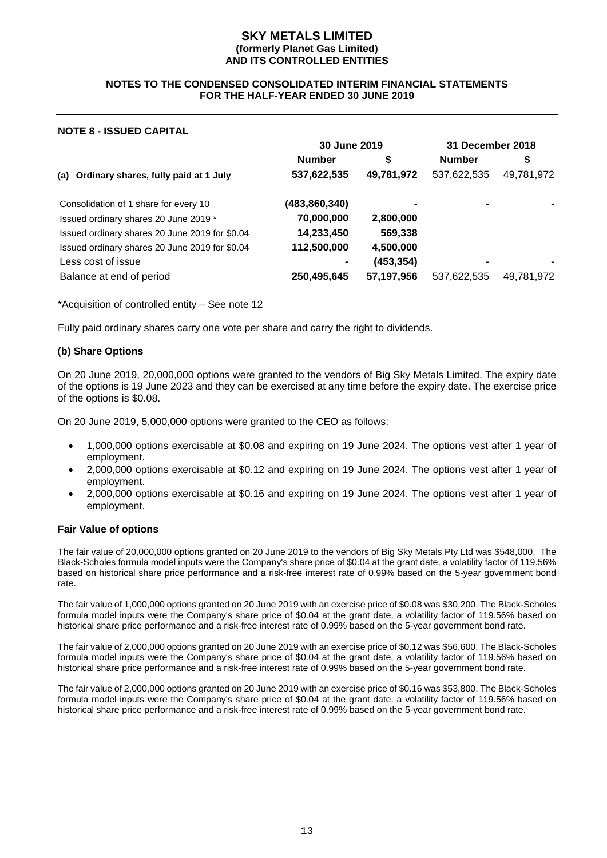#### **NOTES TO THE CONDENSED CONSOLIDATED INTERIM FINANCIAL STATEMENTS FOR THE HALF-YEAR ENDED 30 JUNE 2019**

#### **NOTE 8 - ISSUED CAPITAL**

|                                                | 30 June 2019  |            | 31 December 2018 |            |
|------------------------------------------------|---------------|------------|------------------|------------|
|                                                | <b>Number</b> |            | <b>Number</b>    |            |
| (a) Ordinary shares, fully paid at 1 July      | 537,622,535   | 49,781,972 | 537,622,535      | 49,781,972 |
| Consolidation of 1 share for every 10          | (483,860,340) |            |                  |            |
| Issued ordinary shares 20 June 2019 *          | 70,000,000    | 2,800,000  |                  |            |
| Issued ordinary shares 20 June 2019 for \$0.04 | 14,233,450    | 569,338    |                  |            |
| Issued ordinary shares 20 June 2019 for \$0.04 | 112,500,000   | 4,500,000  |                  |            |
| Less cost of issue                             |               | (453, 354) |                  |            |
| Balance at end of period                       | 250,495,645   | 57,197,956 | 537,622,535      | 49,781,972 |

\*Acquisition of controlled entity – See note 12

Fully paid ordinary shares carry one vote per share and carry the right to dividends.

#### **(b) Share Options**

On 20 June 2019, 20,000,000 options were granted to the vendors of Big Sky Metals Limited. The expiry date of the options is 19 June 2023 and they can be exercised at any time before the expiry date. The exercise price of the options is \$0.08.

On 20 June 2019, 5,000,000 options were granted to the CEO as follows:

- 1,000,000 options exercisable at \$0.08 and expiring on 19 June 2024. The options vest after 1 year of employment.
- 2,000,000 options exercisable at \$0.12 and expiring on 19 June 2024. The options vest after 1 year of employment.
- 2,000,000 options exercisable at \$0.16 and expiring on 19 June 2024. The options vest after 1 year of employment.

#### **Fair Value of options**

The fair value of 20,000,000 options granted on 20 June 2019 to the vendors of Big Sky Metals Pty Ltd was \$548,000. The Black-Scholes formula model inputs were the Company's share price of \$0.04 at the grant date, a volatility factor of 119.56% based on historical share price performance and a risk-free interest rate of 0.99% based on the 5-year government bond rate.

The fair value of 1,000,000 options granted on 20 June 2019 with an exercise price of \$0.08 was \$30,200. The Black-Scholes formula model inputs were the Company's share price of \$0.04 at the grant date, a volatility factor of 119.56% based on historical share price performance and a risk-free interest rate of 0.99% based on the 5-year government bond rate.

The fair value of 2,000,000 options granted on 20 June 2019 with an exercise price of \$0.12 was \$56,600. The Black-Scholes formula model inputs were the Company's share price of \$0.04 at the grant date, a volatility factor of 119.56% based on historical share price performance and a risk-free interest rate of 0.99% based on the 5-year government bond rate.

The fair value of 2,000,000 options granted on 20 June 2019 with an exercise price of \$0.16 was \$53,800. The Black-Scholes formula model inputs were the Company's share price of \$0.04 at the grant date, a volatility factor of 119.56% based on historical share price performance and a risk-free interest rate of 0.99% based on the 5-year government bond rate.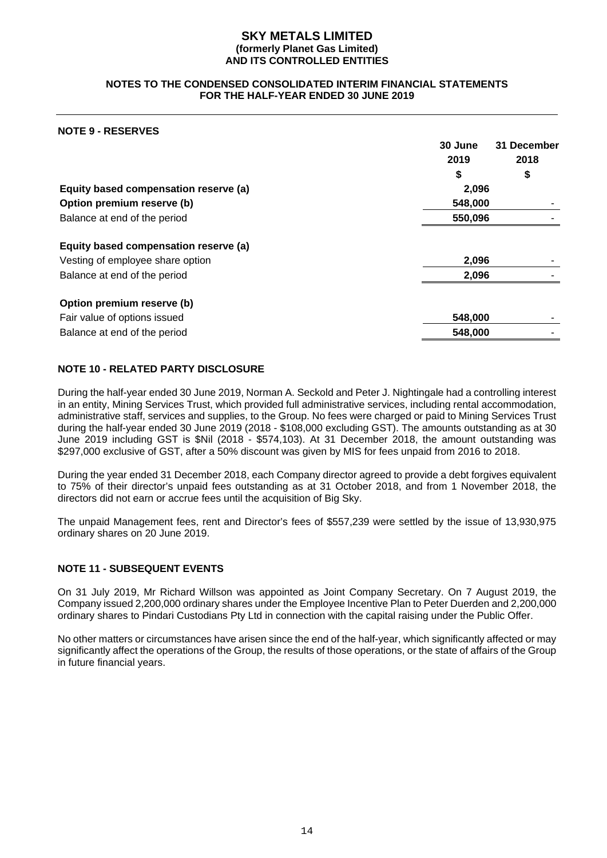#### **NOTES TO THE CONDENSED CONSOLIDATED INTERIM FINANCIAL STATEMENTS FOR THE HALF-YEAR ENDED 30 JUNE 2019**

#### **NOTE 9 - RESERVES**

|                                       | 30 June | 31 December |
|---------------------------------------|---------|-------------|
|                                       | 2019    | 2018        |
|                                       | \$      | \$          |
| Equity based compensation reserve (a) | 2,096   |             |
| Option premium reserve (b)            | 548,000 |             |
| Balance at end of the period          | 550,096 |             |
| Equity based compensation reserve (a) |         |             |
| Vesting of employee share option      | 2,096   |             |
| Balance at end of the period          | 2,096   |             |
| Option premium reserve (b)            |         |             |
| Fair value of options issued          | 548,000 |             |
| Balance at end of the period          | 548,000 |             |

#### **NOTE 10 - RELATED PARTY DISCLOSURE**

During the half-year ended 30 June 2019, Norman A. Seckold and Peter J. Nightingale had a controlling interest in an entity, Mining Services Trust, which provided full administrative services, including rental accommodation, administrative staff, services and supplies, to the Group. No fees were charged or paid to Mining Services Trust during the half-year ended 30 June 2019 (2018 - \$108,000 excluding GST). The amounts outstanding as at 30 June 2019 including GST is \$Nil (2018 - \$574,103). At 31 December 2018, the amount outstanding was \$297,000 exclusive of GST, after a 50% discount was given by MIS for fees unpaid from 2016 to 2018.

During the year ended 31 December 2018, each Company director agreed to provide a debt forgives equivalent to 75% of their director's unpaid fees outstanding as at 31 October 2018, and from 1 November 2018, the directors did not earn or accrue fees until the acquisition of Big Sky.

The unpaid Management fees, rent and Director's fees of \$557,239 were settled by the issue of 13,930,975 ordinary shares on 20 June 2019.

#### **NOTE 11 - SUBSEQUENT EVENTS**

On 31 July 2019, Mr Richard Willson was appointed as Joint Company Secretary. On 7 August 2019, the Company issued 2,200,000 ordinary shares under the Employee Incentive Plan to Peter Duerden and 2,200,000 ordinary shares to Pindari Custodians Pty Ltd in connection with the capital raising under the Public Offer.

No other matters or circumstances have arisen since the end of the half-year, which significantly affected or may significantly affect the operations of the Group, the results of those operations, or the state of affairs of the Group in future financial years.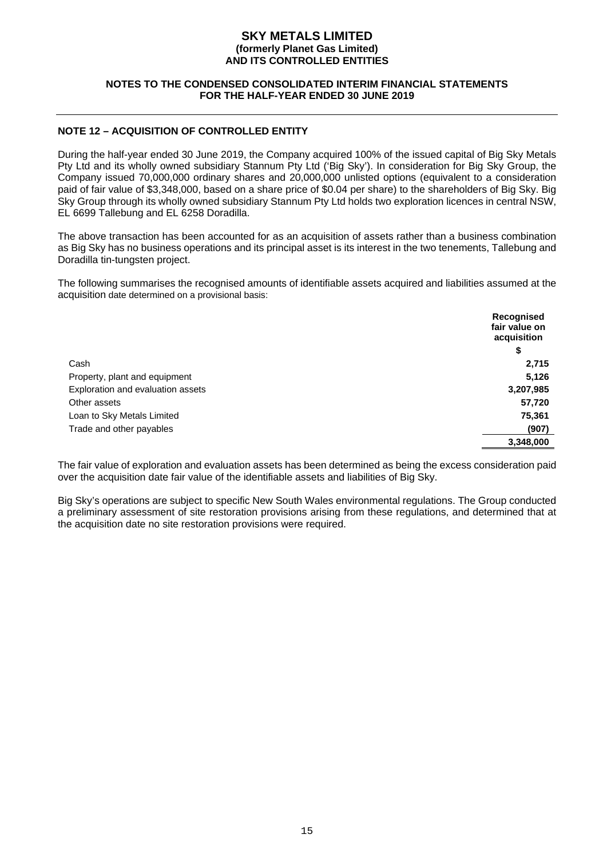#### **NOTES TO THE CONDENSED CONSOLIDATED INTERIM FINANCIAL STATEMENTS FOR THE HALF-YEAR ENDED 30 JUNE 2019**

#### **NOTE 12 – ACQUISITION OF CONTROLLED ENTITY**

During the half-year ended 30 June 2019, the Company acquired 100% of the issued capital of Big Sky Metals Pty Ltd and its wholly owned subsidiary Stannum Pty Ltd ('Big Sky'). In consideration for Big Sky Group, the Company issued 70,000,000 ordinary shares and 20,000,000 unlisted options (equivalent to a consideration paid of fair value of \$3,348,000, based on a share price of \$0.04 per share) to the shareholders of Big Sky. Big Sky Group through its wholly owned subsidiary Stannum Pty Ltd holds two exploration licences in central NSW, EL 6699 Tallebung and EL 6258 Doradilla.

The above transaction has been accounted for as an acquisition of assets rather than a business combination as Big Sky has no business operations and its principal asset is its interest in the two tenements, Tallebung and Doradilla tin-tungsten project.

The following summarises the recognised amounts of identifiable assets acquired and liabilities assumed at the acquisition date determined on a provisional basis:

|                                   | Recognised<br>fair value on<br>acquisition |
|-----------------------------------|--------------------------------------------|
|                                   | \$                                         |
| Cash                              | 2,715                                      |
| Property, plant and equipment     | 5,126                                      |
| Exploration and evaluation assets | 3,207,985                                  |
| Other assets                      | 57,720                                     |
| Loan to Sky Metals Limited        | 75,361                                     |
| Trade and other payables          | (907)                                      |
|                                   | 3,348,000                                  |

The fair value of exploration and evaluation assets has been determined as being the excess consideration paid over the acquisition date fair value of the identifiable assets and liabilities of Big Sky.

Big Sky's operations are subject to specific New South Wales environmental regulations. The Group conducted a preliminary assessment of site restoration provisions arising from these regulations, and determined that at the acquisition date no site restoration provisions were required.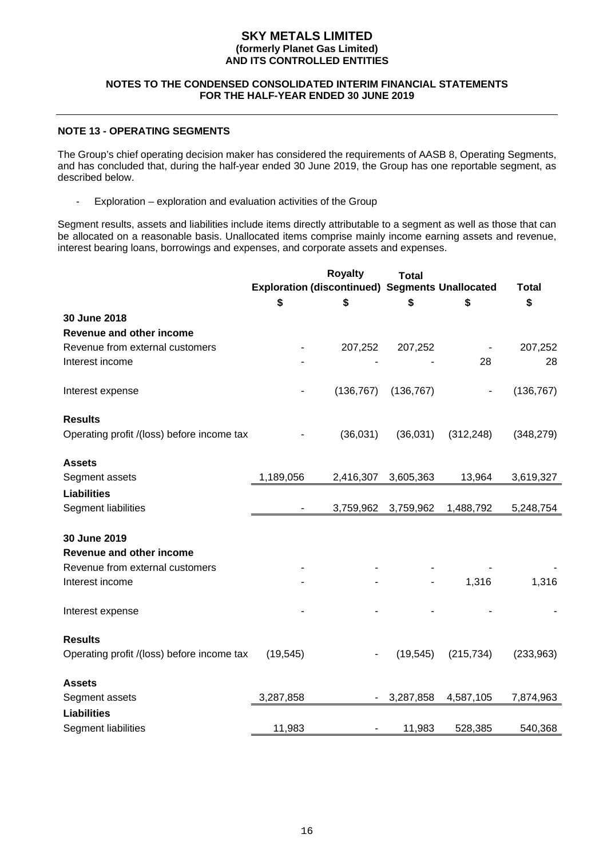#### **NOTES TO THE CONDENSED CONSOLIDATED INTERIM FINANCIAL STATEMENTS FOR THE HALF-YEAR ENDED 30 JUNE 2019**

#### **NOTE 13 - OPERATING SEGMENTS**

The Group's chief operating decision maker has considered the requirements of AASB 8, Operating Segments, and has concluded that, during the half-year ended 30 June 2019, the Group has one reportable segment, as described below.

- Exploration – exploration and evaluation activities of the Group

Segment results, assets and liabilities include items directly attributable to a segment as well as those that can be allocated on a reasonable basis. Unallocated items comprise mainly income earning assets and revenue, interest bearing loans, borrowings and expenses, and corporate assets and expenses.

|                                            |                          | <b>Royalty</b><br><b>Exploration (discontinued) Segments Unallocated</b> | <b>Total</b> |                          | <b>Total</b> |
|--------------------------------------------|--------------------------|--------------------------------------------------------------------------|--------------|--------------------------|--------------|
|                                            | S                        | S                                                                        | \$           | \$                       | \$           |
| 30 June 2018                               |                          |                                                                          |              |                          |              |
| Revenue and other income                   |                          |                                                                          |              |                          |              |
| Revenue from external customers            |                          | 207,252                                                                  | 207,252      |                          | 207,252      |
| Interest income                            |                          |                                                                          |              | 28                       | 28           |
| Interest expense                           |                          | (136, 767)                                                               | (136, 767)   | $\overline{\phantom{a}}$ | (136, 767)   |
| <b>Results</b>                             |                          |                                                                          |              |                          |              |
| Operating profit /(loss) before income tax |                          | (36,031)                                                                 | (36,031)     | (312, 248)               | (348, 279)   |
| <b>Assets</b>                              |                          |                                                                          |              |                          |              |
| Segment assets                             | 1,189,056                | 2,416,307                                                                | 3,605,363    | 13,964                   | 3,619,327    |
| <b>Liabilities</b>                         |                          |                                                                          |              |                          |              |
| Segment liabilities                        | $\overline{\phantom{a}}$ | 3,759,962                                                                | 3,759,962    | 1,488,792                | 5,248,754    |
| 30 June 2019                               |                          |                                                                          |              |                          |              |
| Revenue and other income                   |                          |                                                                          |              |                          |              |
| Revenue from external customers            |                          |                                                                          |              |                          |              |
| Interest income                            |                          |                                                                          |              | 1,316                    | 1,316        |
| Interest expense                           |                          |                                                                          |              |                          |              |
| <b>Results</b>                             |                          |                                                                          |              |                          |              |
| Operating profit /(loss) before income tax | (19, 545)                |                                                                          | (19, 545)    | (215, 734)               | (233,963)    |
| <b>Assets</b>                              |                          |                                                                          |              |                          |              |
| Segment assets                             | 3,287,858                |                                                                          | 3,287,858    | 4,587,105                | 7,874,963    |
| <b>Liabilities</b>                         |                          |                                                                          |              |                          |              |
| Segment liabilities                        | 11,983                   |                                                                          | 11,983       | 528,385                  | 540,368      |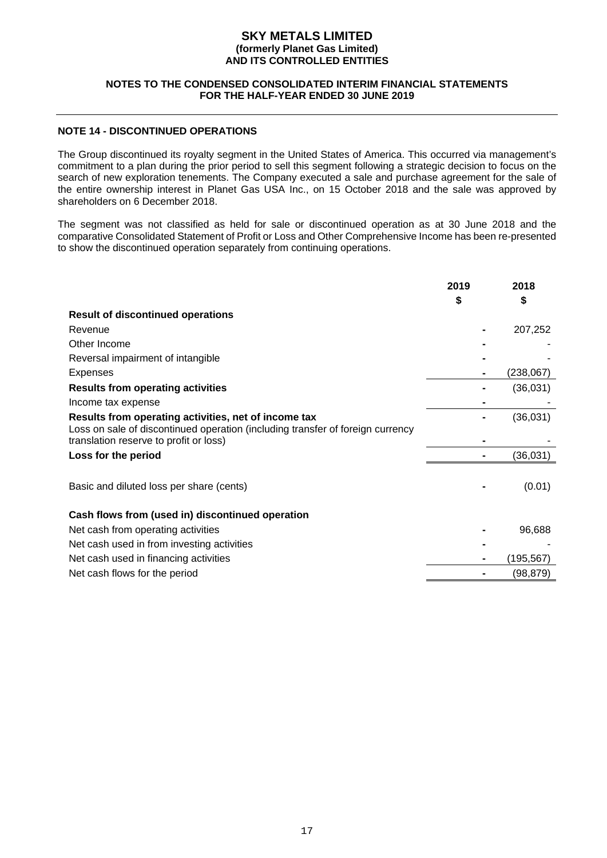#### **NOTES TO THE CONDENSED CONSOLIDATED INTERIM FINANCIAL STATEMENTS FOR THE HALF-YEAR ENDED 30 JUNE 2019**

#### **NOTE 14 - DISCONTINUED OPERATIONS**

The Group discontinued its royalty segment in the United States of America. This occurred via management's commitment to a plan during the prior period to sell this segment following a strategic decision to focus on the search of new exploration tenements. The Company executed a sale and purchase agreement for the sale of the entire ownership interest in Planet Gas USA Inc., on 15 October 2018 and the sale was approved by shareholders on 6 December 2018.

The segment was not classified as held for sale or discontinued operation as at 30 June 2018 and the comparative Consolidated Statement of Profit or Loss and Other Comprehensive Income has been re-presented to show the discontinued operation separately from continuing operations.

|                                                                                                                                        | 2019 | 2018       |
|----------------------------------------------------------------------------------------------------------------------------------------|------|------------|
| <b>Result of discontinued operations</b>                                                                                               |      |            |
| Revenue                                                                                                                                |      | 207,252    |
| Other Income                                                                                                                           |      |            |
| Reversal impairment of intangible                                                                                                      |      |            |
| Expenses                                                                                                                               |      | (238, 067) |
| <b>Results from operating activities</b>                                                                                               |      | (36,031)   |
| Income tax expense                                                                                                                     |      |            |
| Results from operating activities, net of income tax<br>Loss on sale of discontinued operation (including transfer of foreign currency |      | (36,031)   |
| translation reserve to profit or loss)                                                                                                 |      |            |
| Loss for the period                                                                                                                    |      | (36, 031)  |
| Basic and diluted loss per share (cents)                                                                                               |      | (0.01)     |
| Cash flows from (used in) discontinued operation                                                                                       |      |            |
| Net cash from operating activities                                                                                                     |      | 96,688     |
| Net cash used in from investing activities                                                                                             |      |            |
| Net cash used in financing activities                                                                                                  |      | (195,567)  |
| Net cash flows for the period                                                                                                          |      | (98,879)   |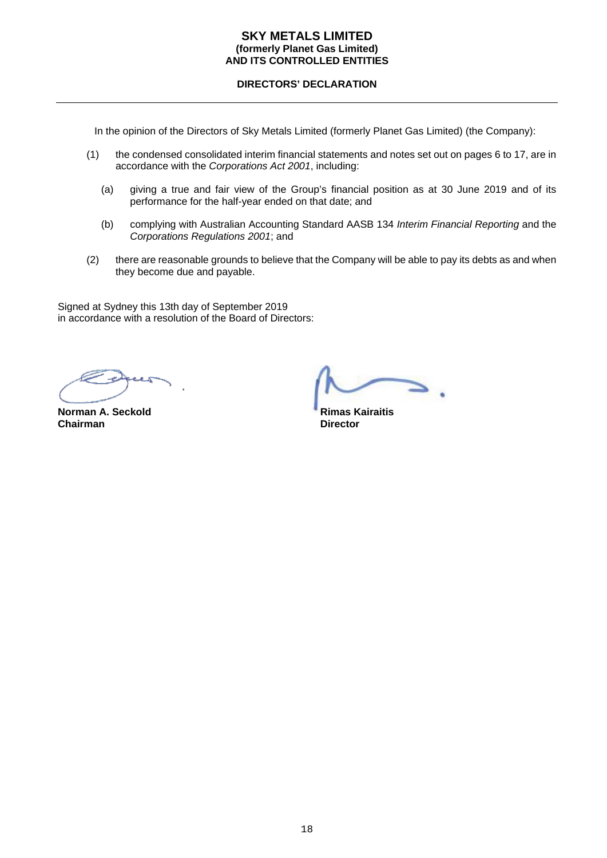#### **DIRECTORS' DECLARATION**

In the opinion of the Directors of Sky Metals Limited (formerly Planet Gas Limited) (the Company):

- (1) the condensed consolidated interim financial statements and notes set out on pages 6 to 17, are in accordance with the *Corporations Act 2001*, including:
	- (a) giving a true and fair view of the Group's financial position as at 30 June 2019 and of its performance for the half-year ended on that date; and
	- (b) complying with Australian Accounting Standard AASB 134 *Interim Financial Reporting* and the *Corporations Regulations 2001*; and
- (2) there are reasonable grounds to believe that the Company will be able to pay its debts as and when they become due and payable.

Signed at Sydney this 13th day of September 2019 in accordance with a resolution of the Board of Directors:

**Norman A. Seckold Chairman A. Seckold Rimas Kairaitis**<br> **Chairman B. Chairman Chairman**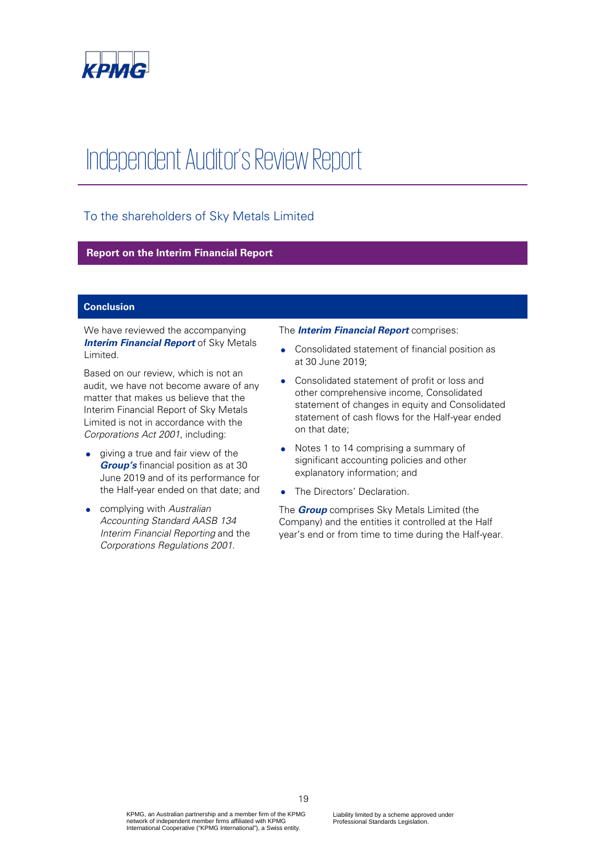

## Independent Auditor's Review Report

#### To the shareholders of Sky Metals Limited

#### **Report on the Interim Financial Report**

#### **Conclusion**

We have reviewed the accompanying **Interim Financial Report** of Sky Metals Limited.

Based on our review, which is not an audit, we have not become aware of any matter that makes us believe that the Interim Financial Report of Sky Metals Limited is not in accordance with the Corporations Act 2001, including:

- giving a true and fair view of the **Group's** financial position as at 30 June 2019 and of its performance for the Half-year ended on that date; and
- complying with Australian Accounting Standard AASB 134 Interim Financial Reporting and the Corporations Regulations 2001.

#### The **Interim Financial Report** comprises:

- Consolidated statement of financial position as at 30 June 2019;
- Consolidated statement of profit or loss and other comprehensive income, Consolidated statement of changes in equity and Consolidated statement of cash flows for the Half-year ended on that date;
- Notes 1 to 14 comprising a summary of significant accounting policies and other explanatory information; and
- The Directors' Declaration.

The **Group** comprises Sky Metals Limited (the Company) and the entities it controlled at the Half year's end or from time to time during the Half-year.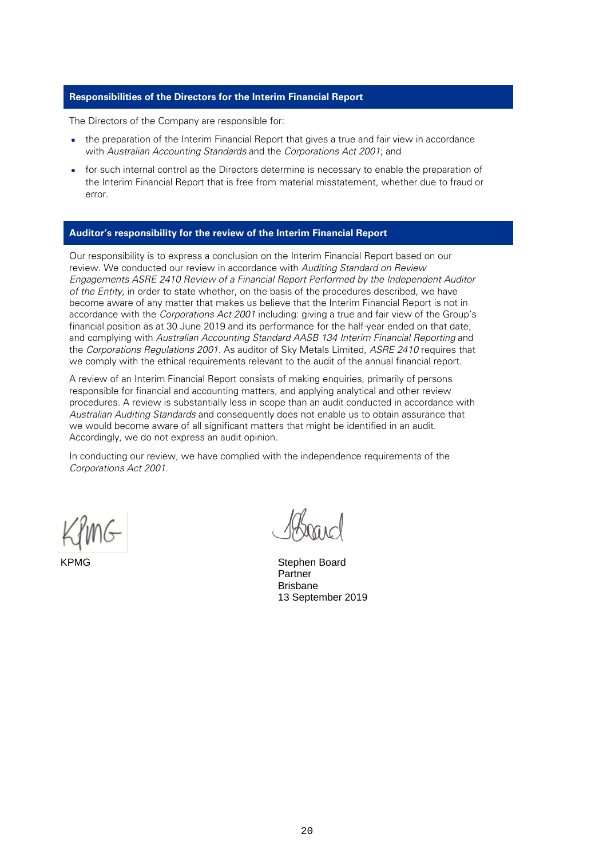#### **Responsibilities of the Directors for the Interim Financial Report**

The Directors of the Company are responsible for:

- the preparation of the Interim Financial Report that gives a true and fair view in accordance with Australian Accounting Standards and the Corporations Act 2001; and
- for such internal control as the Directors determine is necessary to enable the preparation of the Interim Financial Report that is free from material misstatement, whether due to fraud or error.

#### **Auditor's responsibility for the review of the Interim Financial Report**

Our responsibility is to express a conclusion on the Interim Financial Report based on our review. We conducted our review in accordance with Auditing Standard on Review Engagements ASRE 2410 Review of a Financial Report Performed by the Independent Auditor of the Entity, in order to state whether, on the basis of the procedures described, we have become aware of any matter that makes us believe that the Interim Financial Report is not in accordance with the Corporations Act 2001 including: giving a true and fair view of the Group's financial position as at 30 June 2019 and its performance for the half-year ended on that date; and complying with Australian Accounting Standard AASB 134 Interim Financial Reporting and the Corporations Regulations 2001. As auditor of Sky Metals Limited, ASRE 2410 requires that we comply with the ethical requirements relevant to the audit of the annual financial report.

A review of an Interim Financial Report consists of making enquiries, primarily of persons responsible for financial and accounting matters, and applying analytical and other review procedures. A review is substantially less in scope than an audit conducted in accordance with Australian Auditing Standards and consequently does not enable us to obtain assurance that we would become aware of all significant matters that might be identified in an audit. Accordingly, we do not express an audit opinion.

In conducting our review, we have complied with the independence requirements of the Corporations Act 2001.

KPMG Stephen Board Partner Brisbane 13 September 2019